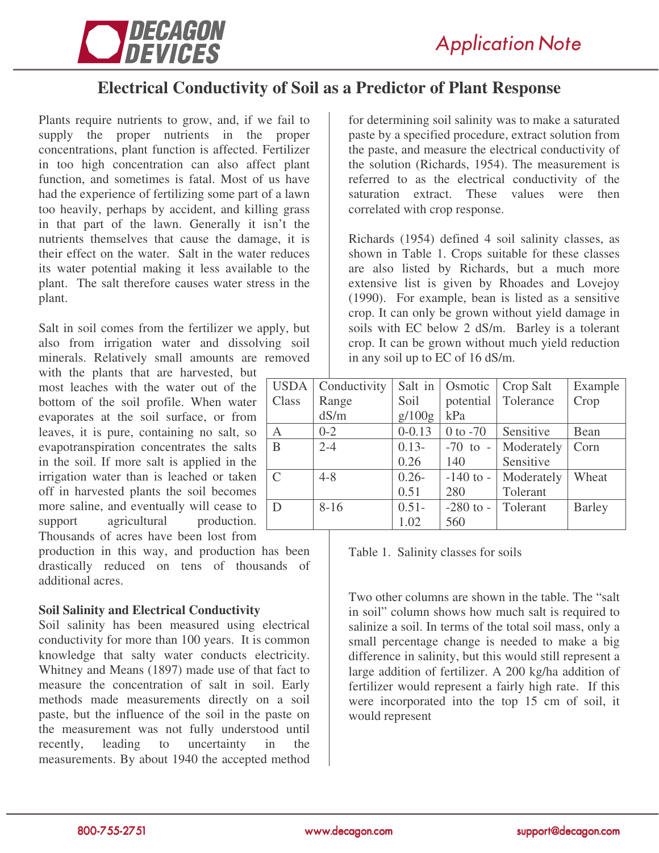

# **Electrical Conductivity of Soil as a Predictor of Plant Response**

Plants require nutrients to grow, and, if we fail to supply the proper nutrients in the proper concentrations, plant function is affected. Fertilizer in too high concentration can also affect plant function, and sometimes is fatal. Most of us have had the experience of fertilizing some part of a lawn too heavily, perhaps by accident, and killing grass in that part of the lawn. Generally it isn't the nutrients themselves that cause the damage, it is their effect on the water. Salt in the water reduces its water potential making it less available to the plant. The salt therefore causes water stress in the plant.

Salt in soil comes from the fertilizer we apply, but also from irrigation water and dissolving soil minerals. Relatively small amounts are removed

with the plants that are harvested, but most leaches with the water out of the bottom of the soil profile. When water evaporates at the soil surface, or from leaves, it is pure, containing no salt, so evapotranspiration concentrates the salts in the soil. If more salt is applied in the irrigation water than is leached or taken off in harvested plants the soil becomes more saline, and eventually will cease to support agricultural production. Thousands of acres have been lost from

production in this way, and production has been drastically reduced on tens of thousands of additional acres.

# **Soil Salinity and Electrical Conductivity**

Soil salinity has been measured using electrical conductivity for more than 100 years. It is common knowledge that salty water conducts electricity. Whitney and Means (1897) made use of that fact to measure the concentration of salt in soil. Early methods made measurements directly on a soil paste, but the influence of the soil in the paste on the measurement was not fully understood until recently, leading to uncertainty in the measurements. By about 1940 the accepted method

for determining soil salinity was to make a saturated paste by a specified procedure, extract solution from the paste, and measure the electrical conductivity of the solution (Richards, 1954). The measurement is referred to as the electrical conductivity of the saturation extract. These values were then correlated with crop response.

Richards (1954) defined 4 soil salinity classes, as shown in Table 1. Crops suitable for these classes are also listed by Richards, but a much more extensive list is given by Rhoades and Lovejoy (1990). For example, bean is listed as a sensitive crop. It can only be grown without yield damage in soils with EC below 2 dS/m. Barley is a tolerant crop. It can be grown without much yield reduction in any soil up to EC of 16 dS/m.

| <b>USDA</b>   | Conductivity | Salt in    | Osmotic       | Crop Salt  | Example       |
|---------------|--------------|------------|---------------|------------|---------------|
| Class         | Range        | Soil       | potential     | Tolerance  | Crop          |
|               | dS/m         | g/100g     | kPa           |            |               |
| A             | $0 - 2$      | $0 - 0.13$ | $0$ to $-70$  | Sensitive  | Bean          |
| B             | $2 - 4$      | $0.13-$    | $-70$ to $-$  | Moderately | Corn          |
|               |              | 0.26       | 140           | Sensitive  |               |
| $\mathcal{C}$ | $4 - 8$      | $0.26 -$   | $-140$ to $-$ | Moderately | Wheat         |
|               |              | 0.51       | 280           | Tolerant   |               |
| D             | $8 - 16$     | $0.51 -$   | $-280$ to $-$ | Tolerant   | <b>Barley</b> |
|               |              | 1.02       | 560           |            |               |

Table 1. Salinity classes for soils

Two other columns are shown in the table. The "salt in soil" column shows how much salt is required to salinize a soil. In terms of the total soil mass, only a small percentage change is needed to make a big difference in salinity, but this would still represent a large addition of fertilizer. A 200 kg/ha addition of fertilizer would represent a fairly high rate. If this were incorporated into the top 15 cm of soil, it would represent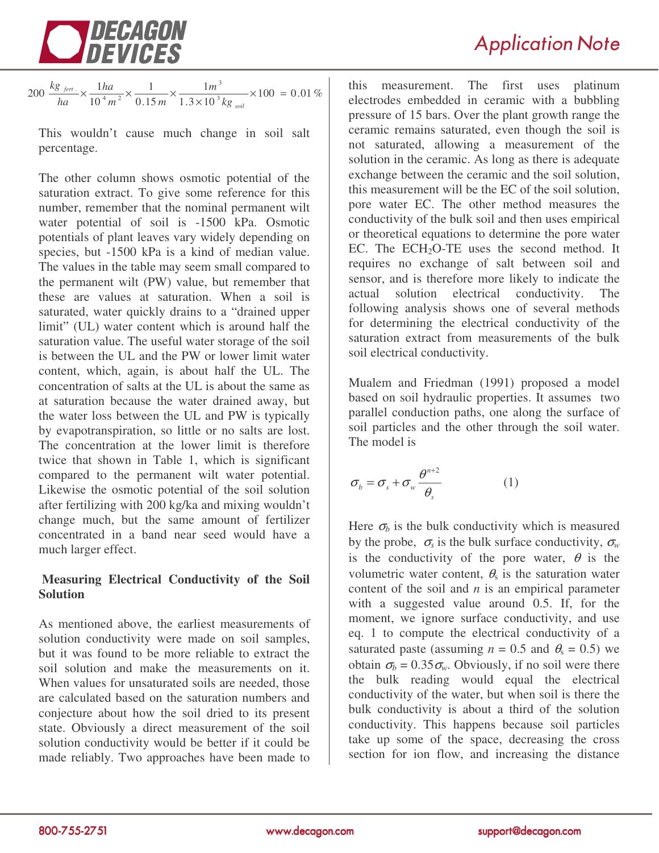

 $\frac{1}{1.3 \times 10^{3} \text{ kg}} \times 100 = 0.01 \%$ 1 0.15 1 10 200  $\frac{kg_{\text{fert.}}}{hq} \times \frac{1ha}{10^{4}m^{2}} \times \frac{1}{0.15m} \times \frac{1}{1.3 \times 10^{3}}$  $4 \frac{1}{2}$  $-\times \frac{1}{10^4 m^2} \times \frac{1}{0.15 m} \times \frac{1}{1.3 \times 10^3 kg_{\text{solid}}} \times 100 =$ *soil fert kg m*  $m^2$  0.15 $m$ *ha ha kg*

This wouldn't cause much change in soil salt percentage.

The other column shows osmotic potential of the saturation extract. To give some reference for this number, remember that the nominal permanent wilt water potential of soil is -1500 kPa. Osmotic potentials of plant leaves vary widely depending on species, but -1500 kPa is a kind of median value. The values in the table may seem small compared to the permanent wilt (PW) value, but remember that these are values at saturation. When a soil is saturated, water quickly drains to a "drained upper limit" (UL) water content which is around half the saturation value. The useful water storage of the soil is between the UL and the PW or lower limit water content, which, again, is about half the UL. The concentration of salts at the UL is about the same as at saturation because the water drained away, but the water loss between the UL and PW is typically by evapotranspiration, so little or no salts are lost. The concentration at the lower limit is therefore twice that shown in Table 1, which is significant compared to the permanent wilt water potential. Likewise the osmotic potential of the soil solution after fertilizing with 200 kg/ka and mixing wouldn't change much, but the same amount of fertilizer concentrated in a band near seed would have a much larger effect.

# **Measuring Electrical Conductivity of the Soil Solution**

As mentioned above, the earliest measurements of solution conductivity were made on soil samples, but it was found to be more reliable to extract the soil solution and make the measurements on it. When values for unsaturated soils are needed, those are calculated based on the saturation numbers and conjecture about how the soil dried to its present state. Obviously a direct measurement of the soil solution conductivity would be better if it could be made reliably. Two approaches have been made to

this measurement. The first uses platinum electrodes embedded in ceramic with a bubbling pressure of 15 bars. Over the plant growth range the ceramic remains saturated, even though the soil is not saturated, allowing a measurement of the solution in the ceramic. As long as there is adequate exchange between the ceramic and the soil solution, this measurement will be the EC of the soil solution, pore water EC. The other method measures the conductivity of the bulk soil and then uses empirical or theoretical equations to determine the pore water EC. The  $ECH<sub>2</sub>O-TE$  uses the second method. It requires no exchange of salt between soil and sensor, and is therefore more likely to indicate the actual solution electrical conductivity. The following analysis shows one of several methods for determining the electrical conductivity of the saturation extract from measurements of the bulk soil electrical conductivity.

Mualem and Friedman (1991) proposed a model based on soil hydraulic properties. It assumes two parallel conduction paths, one along the surface of soil particles and the other through the soil water. The model is

$$
\sigma_{b} = \sigma_{s} + \sigma_{w} \frac{\theta^{n+2}}{\theta_{s}}
$$
 (1)

Here  $\sigma_b$  is the bulk conductivity which is measured by the probe,  $\sigma_s$  is the bulk surface conductivity,  $\sigma_w$ is the conductivity of the pore water,  $\theta$  is the volumetric water content,  $\theta_s$  is the saturation water content of the soil and *n* is an empirical parameter with a suggested value around 0.5. If, for the moment, we ignore surface conductivity, and use eq. 1 to compute the electrical conductivity of a saturated paste (assuming  $n = 0.5$  and  $\theta_s = 0.5$ ) we obtain  $\sigma_b = 0.35 \sigma_w$ . Obviously, if no soil were there the bulk reading would equal the electrical conductivity of the water, but when soil is there the bulk conductivity is about a third of the solution conductivity. This happens because soil particles take up some of the space, decreasing the cross section for ion flow, and increasing the distance